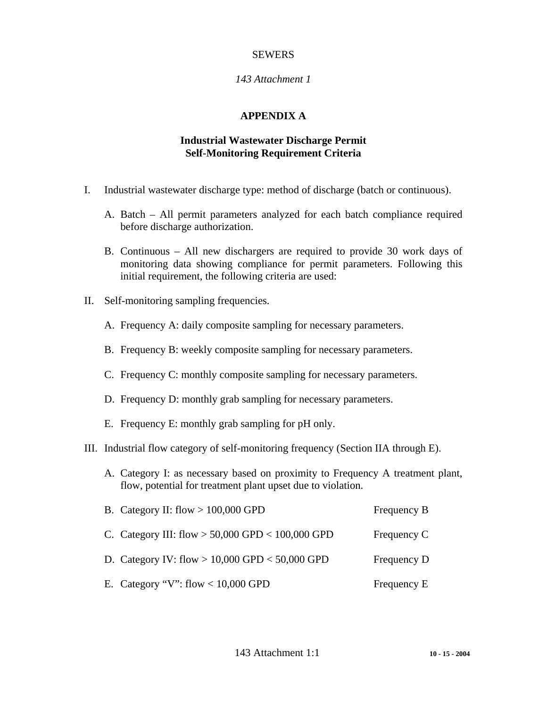## SEWERS

## *143 Attachment 1*

#### **APPENDIX A**

## **Industrial Wastewater Discharge Permit Self-Monitoring Requirement Criteria**

- I. Industrial wastewater discharge type: method of discharge (batch or continuous).
	- A. Batch All permit parameters analyzed for each batch compliance required before discharge authorization.
	- B. Continuous All new dischargers are required to provide 30 work days of monitoring data showing compliance for permit parameters. Following this initial requirement, the following criteria are used:
- II. Self-monitoring sampling frequencies.
	- A. Frequency A: daily composite sampling for necessary parameters.
	- B. Frequency B: weekly composite sampling for necessary parameters.
	- C. Frequency C: monthly composite sampling for necessary parameters.
	- D. Frequency D: monthly grab sampling for necessary parameters.
	- E. Frequency E: monthly grab sampling for pH only.
- III. Industrial flow category of self-monitoring frequency (Section IIA through E).
	- A. Category I: as necessary based on proximity to Frequency A treatment plant, flow, potential for treatment plant upset due to violation.

| B. Category II: flow $> 100,000$ GPD                 | Frequency B |
|------------------------------------------------------|-------------|
| C. Category III: flow $> 50,000$ GPD $< 100,000$ GPD | Frequency C |
| D. Category IV: flow $> 10,000$ GPD $< 50,000$ GPD   | Frequency D |
| E. Category "V": flow < $10,000$ GPD                 | Frequency E |